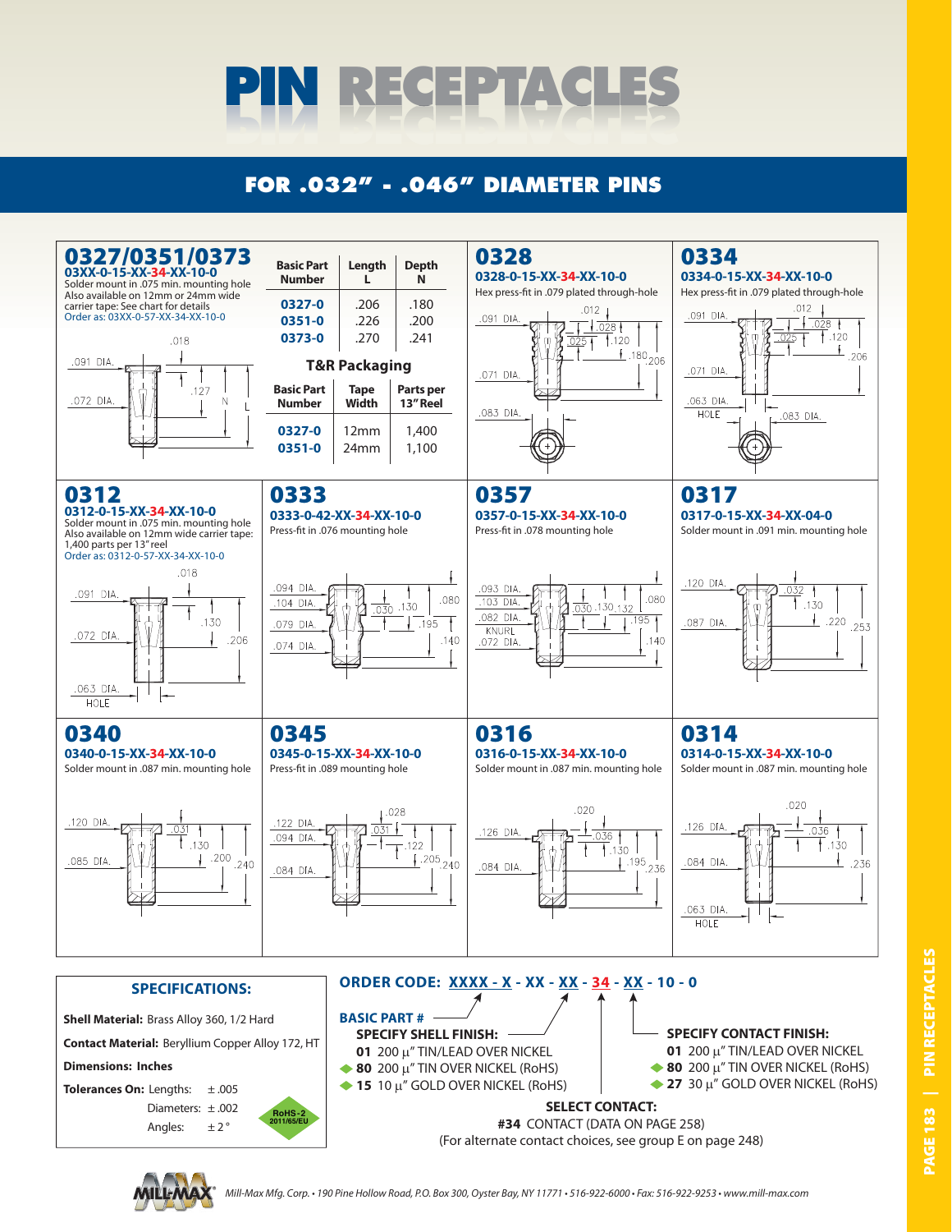

## **FOR .032" - .046" DIAMETER PINS**